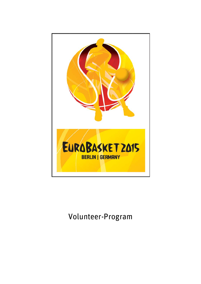

Volunteer-Program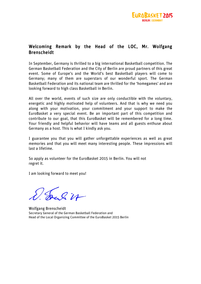

# Welcoming Remark by the Head of the LOC, Mr. Wolfgang Brenscheidt

In September, Germany is thrilled to a big international Basketball competition. The German Basketball Federation and the City of Berlin are proud partners of this great event. Some of Europe's and the World's best Basketball players will come to Germany; many of them are superstars of our wonderful sport. The German Basketball Federation and its national team are thrilled for the 'homegames' and are looking forward to high class Basketball in Berlin.

All over the world, events of such size are only conductible with the voluntary, energetic and highly motivated help of volunteers. And that is why we need you along with your motivation, your commitment and your support to make the EuroBasket a very special event. Be an important part of this competition and contribute to our goal, that this EuroBasket will be remembered for a long time. Your friendly and helpful behavior will have teams and all guests enthuse about Germany as a host. This is what I kindly ask you.

I guarantee you that you will gather unforgettable experiences as well as great memories and that you will meet many interesting people. These impressions will last a lifetime.

So apply as volunteer for the EuroBasket 2015 in Berlin. You will not regret it.

I am looking forward to meet you!

Jelin

Wolfgang Brenscheidt Secretary General of the German Basketball Federation and Head of the Local Organizing Committee of the EuroBasket 2015 Berlin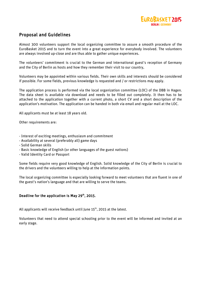

# Proposal and Guidelines

Almost 300 volunteers support the local organizing committee to assure a smooth procedure of the EuroBasket 2015 and to turn the event into a great experience for everybody involved. The volunteers are always involved up-close and are thus able to gather unique experiences.

The volunteers' commitment is crucial to the German and international guest's reception of Germany and the City of Berlin as hosts and how they remember their visit to our country,

Volunteers may be appointed within various fields. Their own skills and interests should be considered if possible. For some fields, previous knowledge is requested and / or restrictions may apply.

The application process is performed via the local organization committee (LOC) of the DBB in Hagen. The data sheet is available via download and needs to be filled out completely. It then has to be attached to the application together with a current photo, a short CV and a short description of the application's motivation. The application can be handed in both via email and regular mail at the LOC.

All applicants must be at least 18 years old.

Other requirements are:

- Interest of exciting meetings, enthusiasm and commitment
- Availability at several (preferably all) game days
- Solid German skills
- Basic knowledge of English (or other languages of the guest nations)
- Valid Identity Card or Passport

Some fields require very good knowledge of English. Solid knowledge of the City of Berlin is crucial to the drivers and the volunteers willing to help at the information points.

The local organizing committee is especially looking forward to meet volunteers that are fluent in one of the guest's nation's language and that are willing to serve the teams.

## Deadline for the application is May  $29<sup>th</sup>$ , 2015.

All applicants will receive feedback until June  $15<sup>th</sup>$ , 2015 at the latest.

Volunteers that need to attend special schooling prior to the event will be informed and invited at an early stage.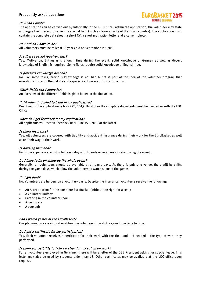# Frequently asked questions



## How can I apply?

The application can be carried out by informally to the LOC Office. Within the application, the volunteer may state and argue the interest to serve in a special field (such as team attaché of their own country). The application must contain the complete data sheet, a short CV, a short motivation letter and a current photo.

## How old do I have to be?

All volunteers must be at least 18 years old on September 1st, 2015.

## Are there special requirements?

Yes. Motivation, Enthusiasm, enough time during the event, solid knowledge of German as well as decent knowledge of English is required. Some fields require solid knowledge of English, too.

#### Is previous knowledge needed?

No. For some tasks, previous knowledge is not bad but it is part of the idea of the volunteer program that everybody brings in their skills and experience. However, this is not a must.

#### Which fields can I apply for?

An overview of the different fields is given below in the document.

#### Until when do I need to hand in my application?

Deadline for the application is May 29<sup>th</sup>, 2015. Until then the complete documents must be handed in with the LOC Office.

## When do I get feedback for my application?

All applicants will receive feedback until June 15<sup>th</sup>, 2015 at the latest.

#### Is there insurance?

Yes. All volunteers are covered with liability and accident insurance during their work for the EuroBasket as well as on their way to their work.

#### Is housing included?

No. From experience, most volunteers stay with friends or relatives closeby during the event.

## Do I have to be on stand-by the whole event?

Generally, all volunteers should be available at all game days. As there is only one venue, there will be shifts during the game days which allow the volunteers to watch some of the games.

## Do I get paid?

No. Volunteers are helpers on a voluntary basis. Despite the insurance, volunteers receive the following:

- An Accreditation for the complete EuroBasket (without the right for a seat)
- A volunteer uniform
- Catering in the volunteer room
- A certificate
- A souvenir

## Can I watch games of the EuroBasket?

Our planning process aims at enabling the volunteers to watch a game from time to time.

## Do I get a certificate for my participation?

Yes. Each volunteer receives a certificate for their work with the time and – if needed – the type of work they performed.

## Is there a possibility to take vacation for my volunteer work?

For all volunteers employed in Germany, there will be a letter of the DBB President asking for special leave. This letter may also be used by students older than 18. Other certificates may be available at the LOC office upon request.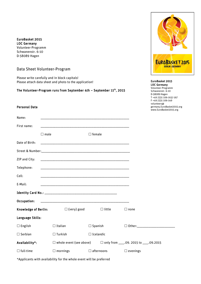EuroBasket 2015 LOC Germany Volunteer-Programm Schwanenstr. 6-10 D-58089 Hagen

Data Sheet Volunteer-Program

Please write carefully and in block capitals! Please attach data sheet and photo to the application!

## The Volunteer-Program runs from September 4th – September 11th, 2015



#### EuroBasket 2015 LOC Germany

Volunteer-Programm Schwanenstr. 6-10 D-58089 Hagen T +49 2331 106-163/-167 F +49 2331 106-149 volunteers@ germany.EuroBasket2015.org www.EuroBasket2015.org

## Personal Data

| Name:            |                |                                                                    |                                                                                 |                  |                 |  |  |  |
|------------------|----------------|--------------------------------------------------------------------|---------------------------------------------------------------------------------|------------------|-----------------|--|--|--|
| First name:      |                |                                                                    |                                                                                 |                  |                 |  |  |  |
|                  | $\square$ male |                                                                    | $\Box$ female                                                                   |                  |                 |  |  |  |
| Date of Birth:   |                |                                                                    |                                                                                 |                  |                 |  |  |  |
|                  |                |                                                                    |                                                                                 |                  |                 |  |  |  |
| ZIP and City:    |                |                                                                    |                                                                                 |                  |                 |  |  |  |
| Telephone:       |                |                                                                    |                                                                                 |                  |                 |  |  |  |
| Cell:            |                |                                                                    |                                                                                 |                  |                 |  |  |  |
| E-Mail:          |                |                                                                    |                                                                                 |                  |                 |  |  |  |
|                  |                |                                                                    |                                                                                 |                  |                 |  |  |  |
| Occupation:      |                |                                                                    |                                                                                 |                  |                 |  |  |  |
|                  |                | <b>Knowledge of Berlin:</b> $\square$ (very) good $\square$ little |                                                                                 |                  | $\Box$ none     |  |  |  |
| Language Skills: |                |                                                                    |                                                                                 |                  |                 |  |  |  |
| $\Box$ English   |                | $\Box$ Italian                                                     |                                                                                 | $\Box$ Spanish   |                 |  |  |  |
| $\Box$ Serbian   |                | $\Box$ Turkish                                                     |                                                                                 | $\Box$ Icelandic |                 |  |  |  |
| Availability*:   |                |                                                                    | $\Box$ whole event (see above) $\Box$ only from _____.09. 2015 to _____.09.2015 |                  |                 |  |  |  |
| $\Box$ full-time |                | $\Box$ mornings                                                    | $\Box$ afternoons                                                               |                  | $\Box$ evenings |  |  |  |

\*Applicants with availability for the whole event will be preferred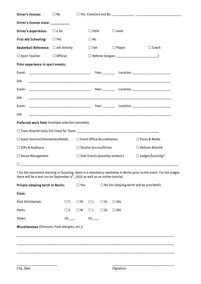| Driver's license:                                                                                                                                                                                                   | $\Box$ No       |                                       |               |               |                                                     |  |  |  |
|---------------------------------------------------------------------------------------------------------------------------------------------------------------------------------------------------------------------|-----------------|---------------------------------------|---------------|---------------|-----------------------------------------------------|--|--|--|
| Driver's license since: ____________                                                                                                                                                                                |                 |                                       |               |               |                                                     |  |  |  |
| Driver's experience:                                                                                                                                                                                                | $\Box$ a lot    |                                       | $\Box$ little | $\Box$ none   |                                                     |  |  |  |
| <b>First Aid Schooling:</b>                                                                                                                                                                                         | $\Box$ Yes      |                                       | $\Box$ No     |               |                                                     |  |  |  |
| <b>Basketball Reference:</b> $\Box$ not directly                                                                                                                                                                    |                 |                                       | $\Box$ Fan    | $\Box$ Player | $\Box$ Coach                                        |  |  |  |
| $\Box$ Sport Teacher                                                                                                                                                                                                | $\Box$ Official |                                       |               |               | □ Referee (league: _______________________________) |  |  |  |
| Prior experience in sport events:                                                                                                                                                                                   |                 |                                       |               |               |                                                     |  |  |  |
|                                                                                                                                                                                                                     |                 |                                       |               |               |                                                     |  |  |  |
| Job:                                                                                                                                                                                                                |                 |                                       |               |               |                                                     |  |  |  |
|                                                                                                                                                                                                                     |                 |                                       |               |               |                                                     |  |  |  |
| Job:                                                                                                                                                                                                                |                 |                                       |               |               |                                                     |  |  |  |
|                                                                                                                                                                                                                     |                 |                                       |               |               |                                                     |  |  |  |
| Job:                                                                                                                                                                                                                |                 |                                       |               |               |                                                     |  |  |  |
| Preferred work field (multiple selection possible):                                                                                                                                                                 |                 |                                       |               |               |                                                     |  |  |  |
|                                                                                                                                                                                                                     |                 |                                       |               |               |                                                     |  |  |  |
| $\Box$ Guest Service/Information/Hotels $\Box$ Event Office/Accreditation                                                                                                                                           |                 |                                       |               |               | □ Press & Media                                     |  |  |  |
| □ VIPs & Audience                                                                                                                                                                                                   |                 | □ Shuttle-Service/Driver              |               |               | □ Referee Attaché                                   |  |  |  |
| □ Venue Management                                                                                                                                                                                                  |                 | $\Box$ Side Events (possibly outdoor) |               |               | $\Box$ Judges/Scouting*                             |  |  |  |
|                                                                                                                                                                                                                     |                 |                                       |               |               |                                                     |  |  |  |
| * for the volunteers working in Scouting, there is a mandatory workshop in Berlin prior to the event. For the judges<br>there will be a test run on September 4 <sup>th</sup> , 2015 as well as an online tutorial. |                 |                                       |               |               |                                                     |  |  |  |

| Private sleeping berth in Berlin:                | $\square$ Yes |                       | $\Box$ No (no sleeping berth will be provided!) |           |            |  |  |
|--------------------------------------------------|---------------|-----------------------|-------------------------------------------------|-----------|------------|--|--|
| Sizes:                                           |               |                       |                                                 |           |            |  |  |
| Polo Shirt/Jacket:                               | $\square$ S   | $\Box$ M              | $\Box$ L                                        | $\Box$ XL | $\Box$ XXL |  |  |
| Pants:                                           | $\Box$ S      | $\Box$ M              | $\Box$ L                                        | $\Box$ XL | $\Box$ XXL |  |  |
| $US$ <sub>____</sub><br>Shoes:                   |               | $EU$ <sub>-----</sub> |                                                 |           |            |  |  |
| Miscellaneous (Illnesses, food allergies, etc.): |               |                       |                                                 |           |            |  |  |
|                                                  |               |                       |                                                 |           |            |  |  |
|                                                  |               |                       |                                                 |           |            |  |  |
|                                                  |               |                       |                                                 |           |            |  |  |
|                                                  |               |                       |                                                 |           |            |  |  |
| -----------------                                |               |                       |                                                 |           |            |  |  |